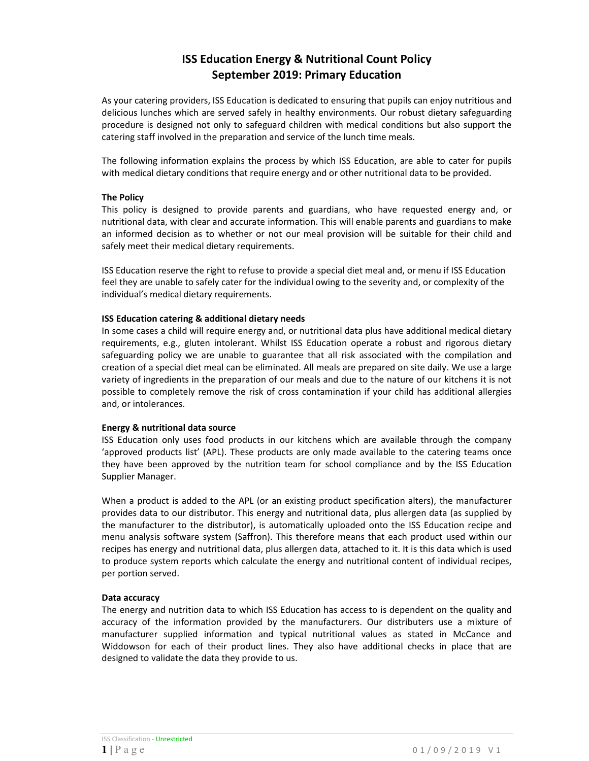# ISS Education Energy & Nutritional Count Policy September 2019: Primary Education

As your catering providers, ISS Education is dedicated to ensuring that pupils can enjoy nutritious and delicious lunches which are served safely in healthy environments. Our robust dietary safeguarding procedure is designed not only to safeguard children with medical conditions but also support the catering staff involved in the preparation and service of the lunch time meals.

The following information explains the process by which ISS Education, are able to cater for pupils with medical dietary conditions that require energy and or other nutritional data to be provided.

#### The Policy

This policy is designed to provide parents and guardians, who have requested energy and, or nutritional data, with clear and accurate information. This will enable parents and guardians to make an informed decision as to whether or not our meal provision will be suitable for their child and safely meet their medical dietary requirements.

ISS Education reserve the right to refuse to provide a special diet meal and, or menu if ISS Education feel they are unable to safely cater for the individual owing to the severity and, or complexity of the individual's medical dietary requirements.

## ISS Education catering & additional dietary needs

In some cases a child will require energy and, or nutritional data plus have additional medical dietary requirements, e.g., gluten intolerant. Whilst ISS Education operate a robust and rigorous dietary safeguarding policy we are unable to guarantee that all risk associated with the compilation and creation of a special diet meal can be eliminated. All meals are prepared on site daily. We use a large variety of ingredients in the preparation of our meals and due to the nature of our kitchens it is not possible to completely remove the risk of cross contamination if your child has additional allergies and, or intolerances.

#### Energy & nutritional data source

ISS Education only uses food products in our kitchens which are available through the company 'approved products list' (APL). These products are only made available to the catering teams once they have been approved by the nutrition team for school compliance and by the ISS Education Supplier Manager.

When a product is added to the APL (or an existing product specification alters), the manufacturer provides data to our distributor. This energy and nutritional data, plus allergen data (as supplied by the manufacturer to the distributor), is automatically uploaded onto the ISS Education recipe and menu analysis software system (Saffron). This therefore means that each product used within our recipes has energy and nutritional data, plus allergen data, attached to it. It is this data which is used to produce system reports which calculate the energy and nutritional content of individual recipes, per portion served.

#### Data accuracy

The energy and nutrition data to which ISS Education has access to is dependent on the quality and accuracy of the information provided by the manufacturers. Our distributers use a mixture of manufacturer supplied information and typical nutritional values as stated in McCance and Widdowson for each of their product lines. They also have additional checks in place that are designed to validate the data they provide to us.